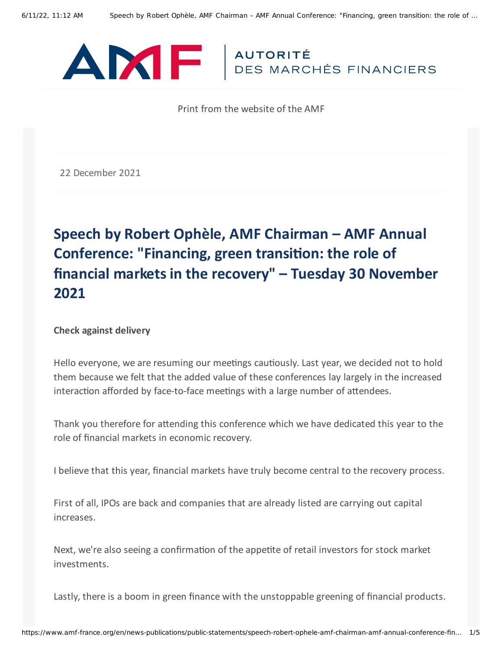

Print from the website of the AMF

22 December 2021

## **Speech by Robert Ophèle, AMF Chairman – AMF Annual Conference: "Financing, green transition: the role of financial markets in the recovery" – Tuesday 30 November 2021**

## **Check against delivery**

Hello everyone, we are resuming our meetings cautiously. Last year, we decided not to hold them because we felt that the added value of these conferences lay largely in the increased interaction afforded by face-to-face meetings with a large number of attendees.

Thank you therefore for attending this conference which we have dedicated this year to the role of financial markets in economic recovery.

I believe that this year, financial markets have truly become central to the recovery process.

First of all, IPOs are back and companies that are already listed are carrying out capital increases.

Next, we're also seeing a confirmation of the appetite of retail investors for stock market investments.

Lastly, there is a boom in green finance with the unstoppable greening of financial products.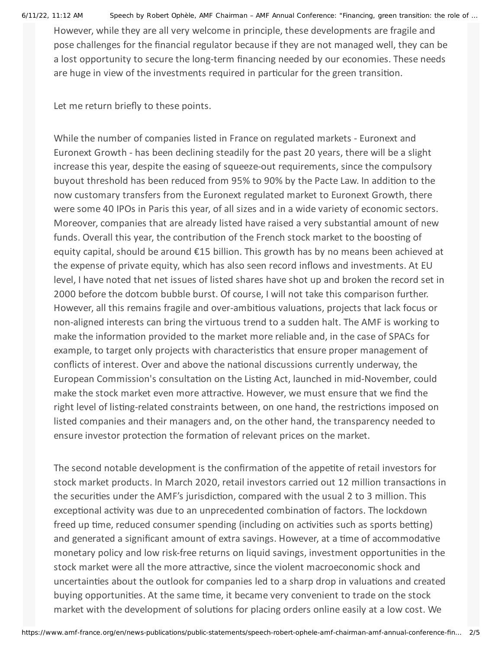6/11/22, 11:12 AM Speech by Robert Ophèle, AMF Chairman – AMF Annual Conference: "Financing, green transition: the role of …

However, while they are all very welcome in principle, these developments are fragile and pose challenges for the financial regulator because if they are not managed well, they can be a lost opportunity to secure the long-term financing needed by our economies. These needs are huge in view of the investments required in particular for the green transition.

Let me return briefly to these points.

While the number of companies listed in France on regulated markets - Euronext and Euronext Growth - has been declining steadily for the past 20 years, there will be a slight increase this year, despite the easing of squeeze-out requirements, since the compulsory buyout threshold has been reduced from 95% to 90% by the Pacte Law. In addition to the now customary transfers from the Euronext regulated market to Euronext Growth, there were some 40 IPOs in Paris this year, of all sizes and in a wide variety of economic sectors. Moreover, companies that are already listed have raised a very substantial amount of new funds. Overall this year, the contribution of the French stock market to the boosting of equity capital, should be around €15 billion. This growth has by no means been achieved at the expense of private equity, which has also seen record inflows and investments. At EU level, I have noted that net issues of listed shares have shot up and broken the record set in 2000 before the dotcom bubble burst. Of course, I will not take this comparison further. However, all this remains fragile and over-ambitious valuations, projects that lack focus or non-aligned interests can bring the virtuous trend to a sudden halt. The AMF is working to make the information provided to the market more reliable and, in the case of SPACs for example, to target only projects with characteristics that ensure proper management of conflicts of interest. Over and above the national discussions currently underway, the European Commission's consultation on the Listing Act, launched in mid-November, could make the stock market even more attractive. However, we must ensure that we find the right level of listing-related constraints between, on one hand, the restrictions imposed on listed companies and their managers and, on the other hand, the transparency needed to ensure investor protection the formation of relevant prices on the market.

The second notable development is the confirmation of the appetite of retail investors for stock market products. In March 2020, retail investors carried out 12 million transactions in the securities under the AMF's jurisdiction, compared with the usual 2 to 3 million. This exceptional activity was due to an unprecedented combination of factors. The lockdown freed up time, reduced consumer spending (including on activities such as sports betting) and generated a significant amount of extra savings. However, at a time of accommodative monetary policy and low risk-free returns on liquid savings, investment opportunities in the stock market were all the more attractive, since the violent macroeconomic shock and uncertainties about the outlook for companies led to a sharp drop in valuations and created buying opportunities. At the same time, it became very convenient to trade on the stock market with the development of solutions for placing orders online easily at a low cost. We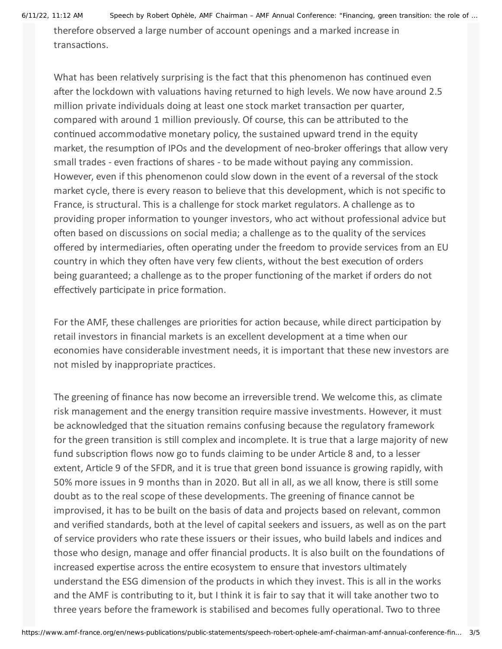6/11/22, 11:12 AM Speech by Robert Ophèle, AMF Chairman – AMF Annual Conference: "Financing, green transition: the role of …

therefore observed a large number of account openings and a marked increase in transactions.

What has been relatively surprising is the fact that this phenomenon has continued even after the lockdown with valuations having returned to high levels. We now have around 2.5 million private individuals doing at least one stock market transaction per quarter, compared with around 1 million previously. Of course, this can be attributed to the continued accommodative monetary policy, the sustained upward trend in the equity market, the resumption of IPOs and the development of neo-broker offerings that allow very small trades - even fractions of shares - to be made without paying any commission. However, even if this phenomenon could slow down in the event of a reversal of the stock market cycle, there is every reason to believe that this development, which is not specific to France, is structural. This is a challenge for stock market regulators. A challenge as to providing proper information to younger investors, who act without professional advice but often based on discussions on social media; a challenge as to the quality of the services offered by intermediaries, often operating under the freedom to provide services from an EU country in which they often have very few clients, without the best execution of orders being guaranteed; a challenge as to the proper functioning of the market if orders do not effectively participate in price formation.

For the AMF, these challenges are priorities for action because, while direct participation by retail investors in financial markets is an excellent development at a time when our economies have considerable investment needs, it is important that these new investors are not misled by inappropriate practices.

The greening of finance has now become an irreversible trend. We welcome this, as climate risk management and the energy transition require massive investments. However, it must be acknowledged that the situation remains confusing because the regulatory framework for the green transition is still complex and incomplete. It is true that a large majority of new fund subscription flows now go to funds claiming to be under Article 8 and, to a lesser extent, Article 9 of the SFDR, and it is true that green bond issuance is growing rapidly, with 50% more issues in 9 months than in 2020. But all in all, as we all know, there is still some doubt as to the real scope of these developments. The greening of finance cannot be improvised, it has to be built on the basis of data and projects based on relevant, common and verified standards, both at the level of capital seekers and issuers, as well as on the part of service providers who rate these issuers or their issues, who build labels and indices and those who design, manage and offer financial products. It is also built on the foundations of increased expertise across the entire ecosystem to ensure that investors ultimately understand the ESG dimension of the products in which they invest. This is all in the works and the AMF is contributing to it, but I think it is fair to say that it will take another two to three years before the framework is stabilised and becomes fully operational. Two to three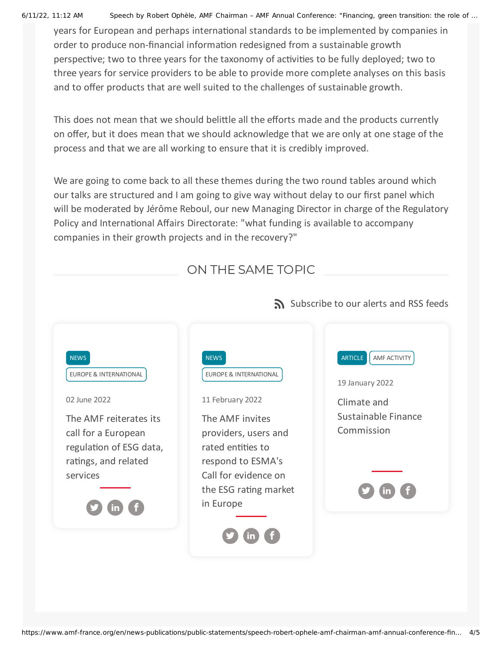6/11/22, 11:12 AM Speech by Robert Ophèle, AMF Chairman – AMF Annual Conference: "Financing, green transition: the role of …

years for European and perhaps international standards to be implemented by companies in order to produce non-financial information redesigned from a sustainable growth perspective; two to three years for the taxonomy of activities to be fully deployed; two to three years for service providers to be able to provide more complete analyses on this basis and to offer products that are well suited to the challenges of sustainable growth.

This does not mean that we should belittle all the efforts made and the products currently on offer, but it does mean that we should acknowledge that we are only at one stage of the process and that we are all working to ensure that it is credibly improved.

We are going to come back to all these themes during the two round tables around which our talks are structured and I am going to give way without delay to our first panel which will be moderated by Jérôme Reboul, our new Managing Director in charge of the Regulatory Policy and International Affairs Directorate: "what funding is available to accompany companies in their growth projects and in the recovery?"